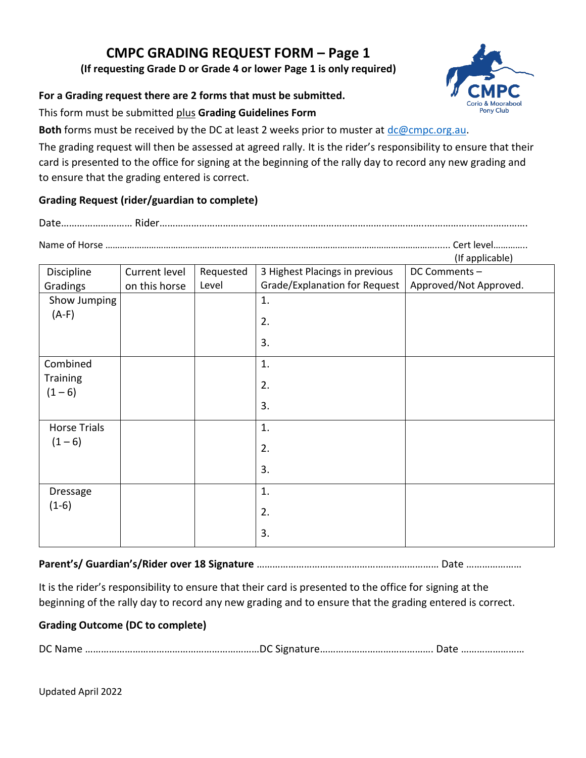# **CMPC GRADING REQUEST FORM – Page 1**

**(If requesting Grade D or Grade 4 or lower Page 1 is only required)**

#### **For a Grading request there are 2 forms that must be submitted.**

This form must be submitted plus **Grading Guidelines Form**

**Both** forms must be received by the DC at least 2 weeks prior to muster at [dc@cmpc.org.au.](mailto:dc@cmpc.org.au)

The grading request will then be assessed at agreed rally. It is the rider's responsibility to ensure that their card is presented to the office for signing at the beginning of the rally day to record any new grading and to ensure that the grading entered is correct.

### **Grading Request (rider/guardian to complete)**

Date……………………… Rider………………………………………………………………………………………..…………….………………….

Name of Horse …………………………………………….....………………..….…………….…………………………………...... Cert level…………..  $l$ If applicable)

|                     |               |           |                                      | (ii applicable)        |
|---------------------|---------------|-----------|--------------------------------------|------------------------|
| Discipline          | Current level | Requested | 3 Highest Placings in previous       | DC Comments -          |
| Gradings            | on this horse | Level     | <b>Grade/Explanation for Request</b> | Approved/Not Approved. |
| Show Jumping        |               |           | 1.                                   |                        |
| $(A-F)$             |               |           | 2.                                   |                        |
|                     |               |           | 3.                                   |                        |
| Combined            |               |           | 1.                                   |                        |
| <b>Training</b>     |               |           | 2.                                   |                        |
| $(1 - 6)$           |               |           |                                      |                        |
|                     |               |           | 3.                                   |                        |
| <b>Horse Trials</b> |               |           | 1.                                   |                        |
| $(1 - 6)$           |               |           | 2.                                   |                        |
|                     |               |           | 3.                                   |                        |
| <b>Dressage</b>     |               |           | 1.                                   |                        |
| $(1-6)$             |               |           |                                      |                        |
|                     |               |           | 2.                                   |                        |
|                     |               |           | 3.                                   |                        |

**Parent's/ Guardian's/Rider over 18 Signature** …………………………………………………………… Date …………………

It is the rider's responsibility to ensure that their card is presented to the office for signing at the beginning of the rally day to record any new grading and to ensure that the grading entered is correct.

### **Grading Outcome (DC to complete)**

DC Name …………………………………………………………DC Signature……………………………………. Date ……………………

Updated April 2022